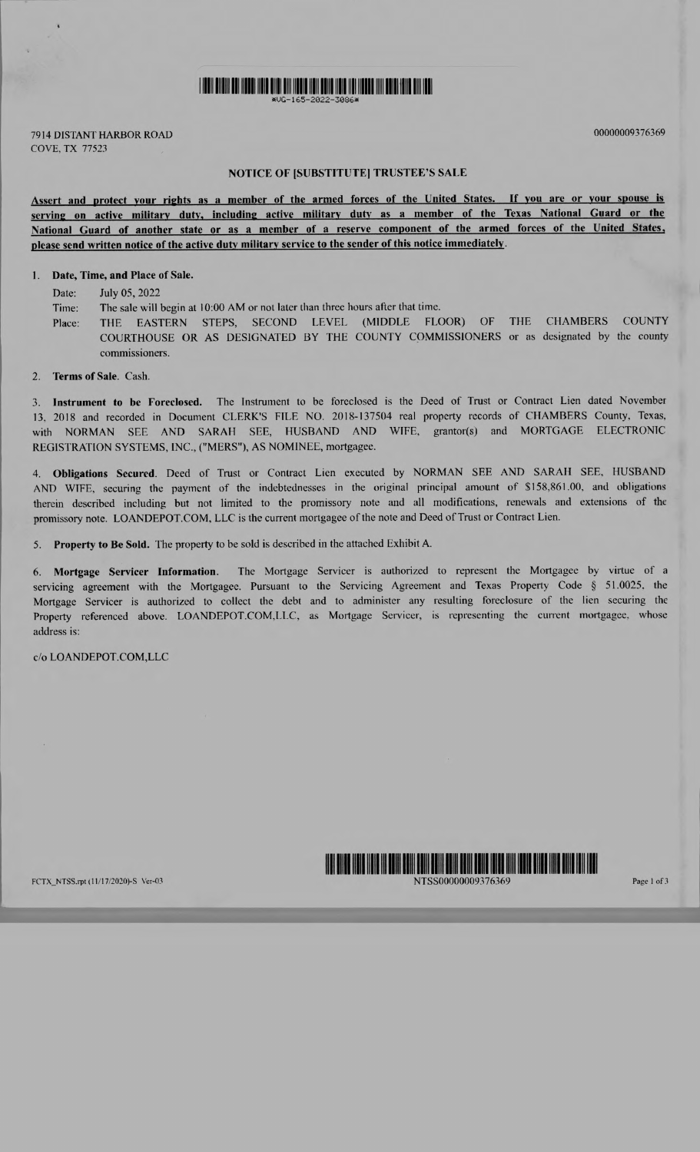

7914 DISTANT HARBOR ROAD 00000009376369 COVE, TX 77523

### NOTICE OF [SUBSTITUTE] TRUSTEE'S SALE

Assert and protect your rights as a member of the armed forces of the United States. If you are or your spouse is serving on active military duty, including active military duty as a member of the Texas National Guard or the National Guard of another state or as a member of a reserve component of the armed forces of the United States, please send written notice of the active duty military service to the sender of this notice immediately.

### I. Date, Time, and Place of Sale.

- Date: July 05, 2022
- Time: The sale will begin at 10:00 AM or not later than three hours after that time.
- Place: THE EASTERN STEPS, SECOND LEVEL (MIDDLE FLOOR) OF THE CHAMBERS COUNTY COURTHOUSE OR AS DESIGNATED BY THE COUNTY COMMISSIONERS or as designated by the county commissioners.
- 2. Terms of Sale. Cash.

3. Instrument to be Foreclosed. The Instrument to be foreclosed is the Deed of Trust or Contract Lien dated November 13, 2018 and recorded in Document CLERK'S FILE NO. 2018-137504 real property records of CHAMBERS County, Texas, with NORMAN SEE AND SARAH SEE, HUSBAND AND WIFE, grantor(s) and MORTGAGE ELECTRONIC REGISTRATION SYSTEMS, INC., ("MERS"), AS NOMINEE, mortgagee.

4. Obligations Secured. Deed of Trust or Contract Lien executed by NORMAN SEE AND SARAH SEE, HUSBAND AND WIFE, securing the payment of the indebtednesses in the original principal amount of \$158,861.00, and obligations therein described including but not limited to the promissory note and all modifications, renewals and extensions of the promissory note. LOANDEPOT.COM, LLC is the current mortgagee of the note and Deed of Trust or Contract Lien.

5. Property to Be Sold. The property to be sold is described in the attached Exhibit A.

6. Mortgage Servicer Information. The Mortgage Servicer is authorized to represent the Mortgagee by virtue of a servicing agreement with the Mortgagee. Pursuant to the Servicing Agreement and Texas Property Code § 51.0025, the Mortgage Servicer is authorized to collect the debt and to administer any resulting foreclosure of the lien securing the Property referenced above. LOANDEPOT.COM,LLC, as Mortgage Servicer, is representing the current mortgagee, whose address is:

c/o LOANDEPOT.COM,LLC

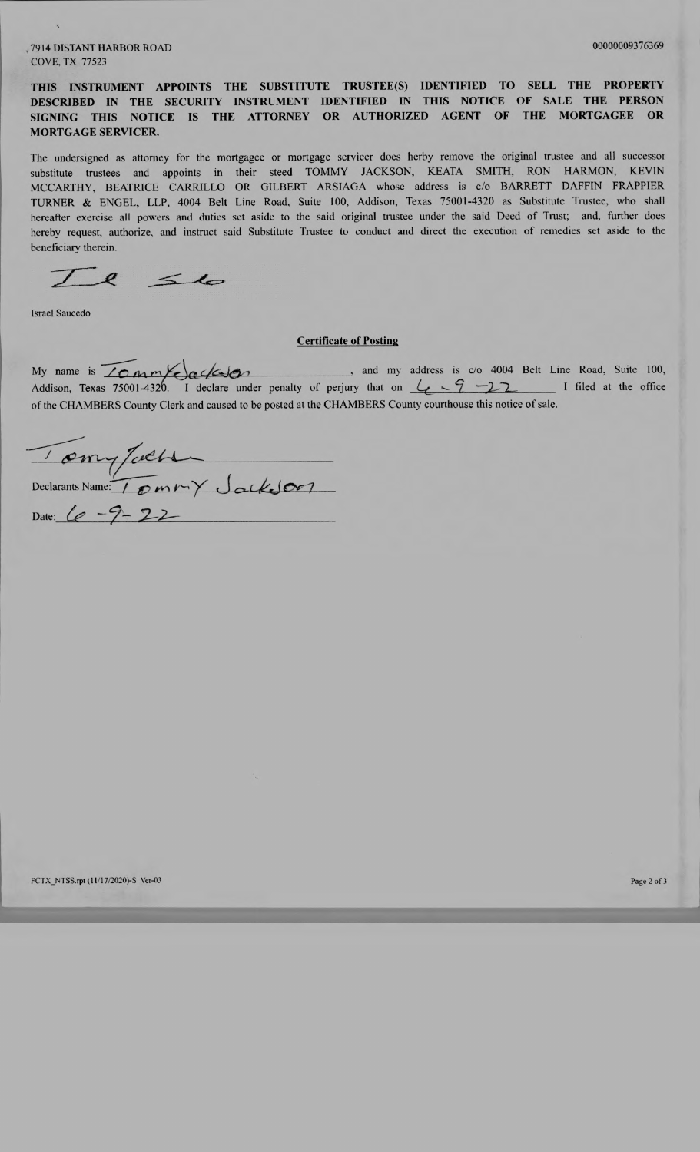## , 7914 DISTANT HARBOR ROAD 00000009376369 COVE, TX 77523

# THIS INSTRUMENT APPOINTS THE SUBSTITUTE TRUSTEE(S) IDENTIFIED TO SELL THE PROPERTY DESCRIBED IN THE SECURITY INSTRUMENT IDENTIFIED IN THIS NOTICE OF SALE THE PERSON SIGNING THIS NOTICE IS THE ATTORNEY OR AUTHORIZED AGENT OF THE MORTGAGEE OR MORTGAGE SERVICER.

The undersigned as attorney for the mortgagee or mortgage servicer does herby remove the original trustee and all successor substitute trustees and appoints in their steed TOMMY JACKSON, KEATA SMITH, RON HARMON, KEVIN MCCARTHY, BEATRICE CARRILLO OR GILBERT ARSIAGA whose address is c/o BARRETT DAFFIN FRAPPIER TURNER & ENGEL, LLP, 4004 Belt Line Road, Suite 100, Addison, Texas 75001-4320 as Substitute Trustee, who shall hereafter exercise all powers and duties set aside to the said original trustee under the said Deed of Trust; and, further does hereby request, authorize, and instruct said Substitute Trustee to conduct and direct the execution of remedies set aside to the beneficiary therein.

Il Sto

Israel Saucedo

#### Certificate of Posting

My name is  $\overline{10 \mu m}$   $\overline{20}$   $\mu m$   $\overline{30}$   $\overline{400}$  and my address is c/o 4004 Belt Line Road, Suite 100, Addison, Texas 75001-4320. I declare under penalty of perjury that on  $\frac{1}{2}$   $\frac{9}{2}$   $\frac{7}{2}$  I filed at the office of the CHAMBERS County Clerk and caused to be posted at the CHAMBERS County courthouse this notice of sale.

Tomy Jacks

Date:  $(e - 9 - 22)$